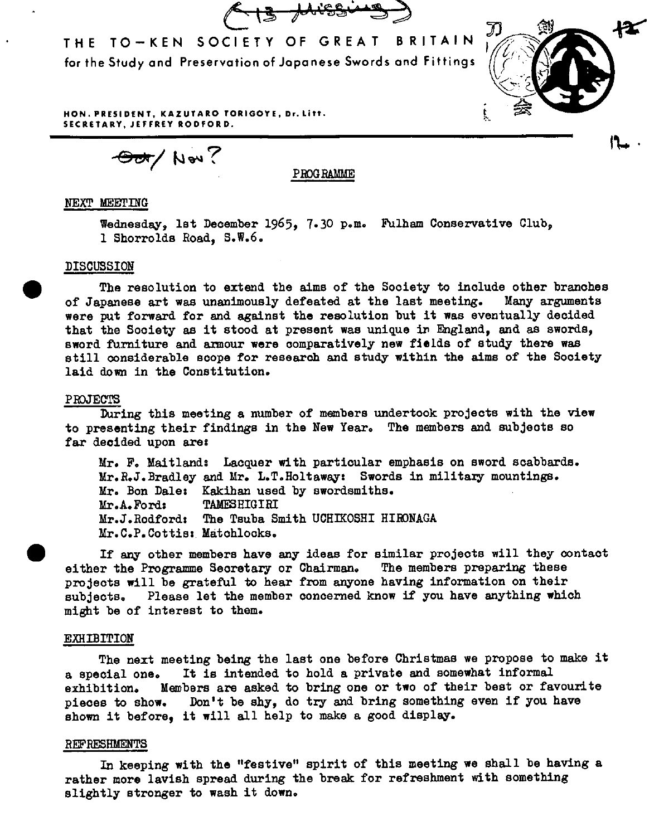THE TO-KEN SOCIETY OF GREAT BRITAIN for the Study ond Preservation of Joponese Swords ond Fittings



 $\sim$  .

**HON. PRESIDENT, KAZUTARO TORIGOYE, Dr.Litt. SECRETARY, JEFFREY RODFORD.** 

Swell **\BOD** 

PROGRAMME

# NEXT MEETING

Wednesday, lst December 1965, 7.30 p.m. Fulham Conservative Club, 1 Shorrolds Road, S,W,6.

## DISCUSSION

 $\bullet$ The resolution to extend the aims of the Society to include other branches of Japanese art was unanimously defeated at the last meeting, Many arguments were put forward for and against the resolution but it was eventually decided that the Society as it stood at present was unique in England, and as swords, sword furniture and armour were comparatively new fields of study there was still considerable scope for research and study within the aims of the Society laid down in the Constitution.

#### PROJECTS

During this meeting a number of members undertook projects with the view to presenting their findings in the New Year. The members and subjects so far decided upon are:

Mr. F. Maitland: Lacquer with particular emphasis on sword scabbards. Mr.R.J.Bradley and Mr. L.T.Holtaway: Swords in military mountings. Mr. Bon Dale: Kakihan used by swordsmiths. Mr.A,Ford: TAMESHIGIRI Mr,J.Rodford: The Tsuba Smith UCHIKOSHI HIEONAGA Mr.C.P.Cottis: Matohlooks.

If any other members have any ideas for similar projects will they contact either the Programme Secretary or Chairman. The members preparing these projects will be grateful to hear from anyone having information on their subjects, Please let the member concerned know if you have anything which might be of interest to them.

#### EXHIBITION

The next meeting being the last one before Christmas we propose to make it <sup>a</sup>special one. It is intended to hold a private and somewhat informal exhibition. Members are asked to bring one or two of their best or favourite <sup>p</sup>ieces to show. Don't be shy, do try and bring something even if you have shown it before, it will all help to make a good display.

### REFRESHMENTS

In keeping with the "festive" spirit of this meeting we shall be having <sup>a</sup> rather more lavish spread during the break for refreshment with something slightly stronger to wash it down.